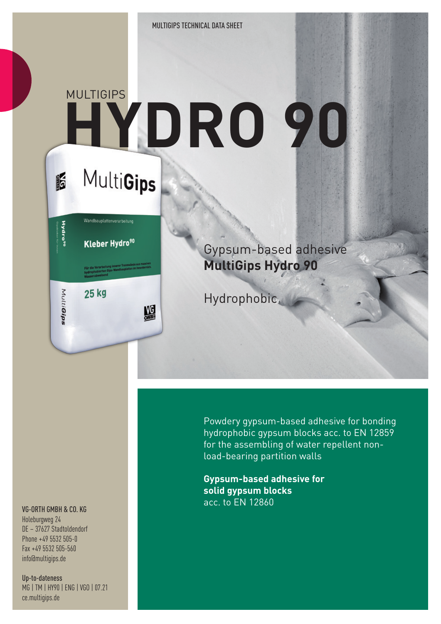# **HYDRO 90 MULTIGIPS**

## MultiGips

I



盟

Gypsum-based adhesive **MultiGips Hydro 90**

**Hydrophobic** 

Powdery gypsum-based adhesive for bonding hydrophobic gypsum blocks acc. to EN 12859 for the assembling of water repellent nonload-bearing partition walls

**Gypsum-based adhesive for solid gypsum blocks** acc. to EN 12860

#### VG-ORTH GMBH & CO. KG

Holeburgweg 24 DE – 37627 Stadtoldendorf Phone +49 5532 505-0 Fax +49 5532 505-560 info@multigips.de

Up-to-dateness MG | TM | HY90 | ENG | VGO | 07.21 ce.multigips.de